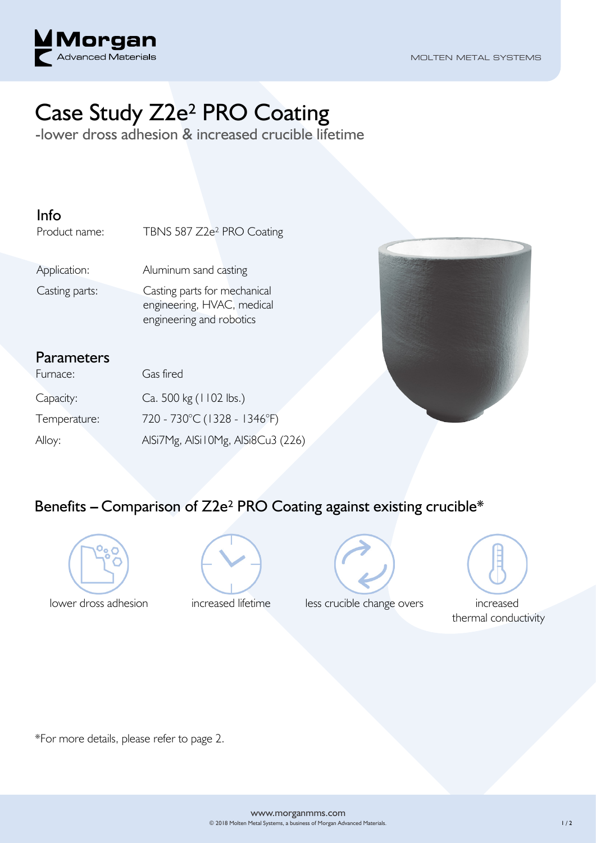

# Case Study Z2e² PRO Coating

-lower dross adhesion & increased crucible lifetime

#### Info

Product name: TBNS 587 Z2e<sup>2</sup> PRO Coating

Application: Aluminum sand casting

Casting parts: Casting parts for mechanical

engineering, HVAC, medical engineering and robotics

#### **Parameters**

| Furnace:     | Gas fired                         |
|--------------|-----------------------------------|
| Capacity:    | Ca. 500 kg (1102 lbs.)            |
| Temperature: | 720 - 730°C (1328 - 1346°F)       |
| Alloy:       | AlSi7Mg, AlSi10Mg, AlSi8Cu3 (226) |



### Benefits **–** Comparison of Z2e² PRO Coating against existing crucible\*







lower dross adhesion increased lifetime less crucible change overs increased



thermal conductivity

\*For more details, please refer to page 2.